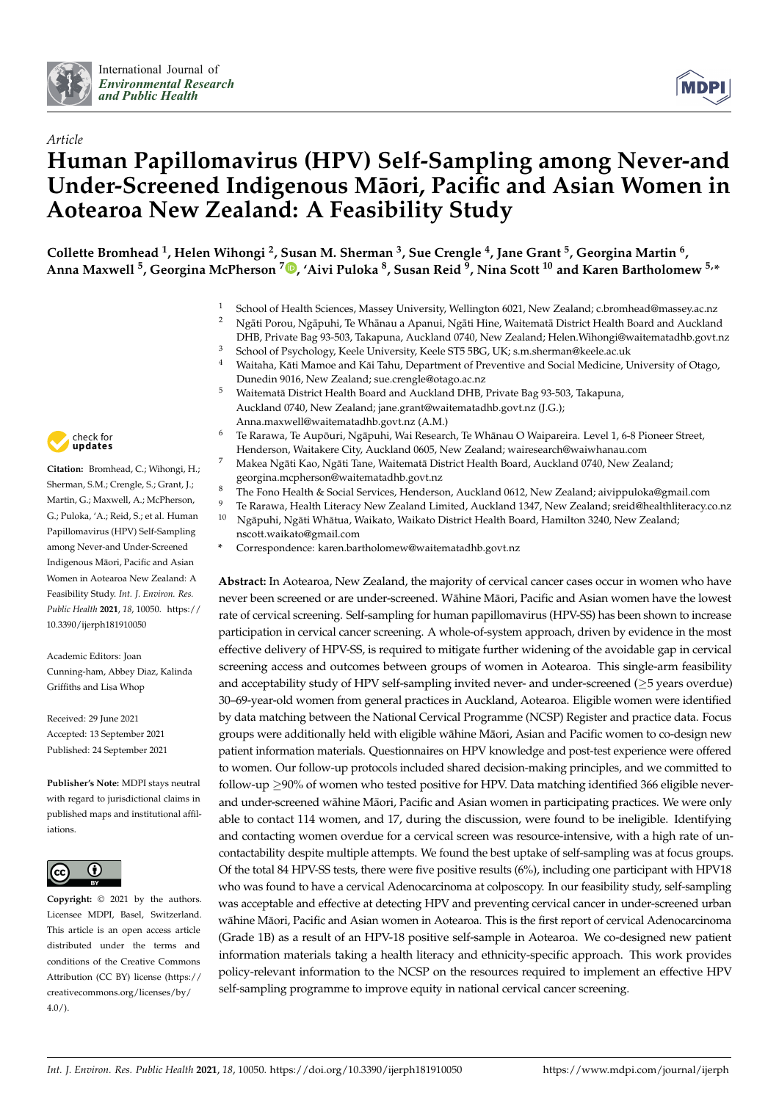



# *Article* **Human Papillomavirus (HPV) Self-Sampling among Never-and** Under-Screened Indigenous Māori, Pacific and Asian Women in **Aotearoa New Zealand: A Feasibility Study**

**Collette Bromhead <sup>1</sup> , Helen Wihongi <sup>2</sup> , Susan M. Sherman <sup>3</sup> , Sue Crengle <sup>4</sup> , Jane Grant <sup>5</sup> , Georgina Martin <sup>6</sup> , Anna Maxwell <sup>5</sup> , Georgina McPherson <sup>7</sup> [,](https://orcid.org/0000-0003-3550-4746) 'Aivi Puloka <sup>8</sup> , Susan Reid <sup>9</sup> , Nina Scott <sup>10</sup> and Karen Bartholomew 5,\***

- 1 School of Health Sciences, Massey University, Wellington 6021, New Zealand; c.bromhead@massey.ac.nz<br>2 Ne<sup>5</sup>ti Persu, Ne5nubi, To Whōnau a Ananui, Ne5ti Hino, Weitsmatō Dictrict Health Beard and Augkland
- Ngāti Porou, Ngā puhi, Te Whānau a Apanui, Ngāti Hine, Waitematā District Health Board and Auckland DHB, Private Bag 93-503, Takapuna, Auckland 0740, New Zealand; Helen.Wihongi@waitematadhb.govt.nz
- <sup>3</sup> School of Psychology, Keele University, Keele ST5 5BG, UK; s.m.sherman@keele.ac.uk
- <sup>4</sup> Waitaha, Kati Mamoe and Kai Tahu, Department of Preventive and Social Medicine, University of Otago, Dunedin 9016, New Zealand; sue.crengle@otago.ac.nz
- <sup>5</sup> Waitematā District Health Board and Auckland DHB, Private Bag 93-503, Takapuna, Auckland 0740, New Zealand; jane.grant@waitematadhb.govt.nz (J.G.); Anna.maxwell@waitematadhb.govt.nz (A.M.)
	- Te Rarawa, Te Aupōuri, Ngāpuhi, Wai Research, Te Whānau O Waipareira. Level 1, 6-8 Pioneer Street, Henderson, Waitakere City, Auckland 0605, New Zealand; wairesearch@waiwhanau.com
- Makea Ngāti Kao, Ngāti Tane, Waitematā District Health Board, Auckland 0740, New Zealand; georgina.mcpherson@waitematadhb.govt.nz
- <sup>8</sup> The Fono Health & Social Services, Henderson, Auckland 0612, New Zealand; aivippuloka@gmail.com
- 9 Te Rarawa, Health Literacy New Zealand Limited, Auckland 1347, New Zealand; sreid@healthliteracy.co.nz<br>10 Neānubi Neāti Whātus, Weikato Waikato District Health Board, Hamilton 2240 New Zealand;
- Ngāpuhi, Ngāti Whātua, Waikato, Waikato District Health Board, Hamilton 3240, New Zealand; nscott.waikato@gmail.com
- **\*** Correspondence: karen.bartholomew@waitematadhb.govt.nz

**Abstract:** In Aotearoa, New Zealand, the majority of cervical cancer cases occur in women who have never been screened or are under-screened. Wāhine Māori, Pacific and Asian women have the lowest rate of cervical screening. Self-sampling for human papillomavirus (HPV-SS) has been shown to increase participation in cervical cancer screening. A whole-of-system approach, driven by evidence in the most effective delivery of HPV-SS, is required to mitigate further widening of the avoidable gap in cervical screening access and outcomes between groups of women in Aotearoa. This single-arm feasibility and acceptability study of HPV self-sampling invited never- and under-screened ( $\geq$ 5 years overdue) 30–69-year-old women from general practices in Auckland, Aotearoa. Eligible women were identified by data matching between the National Cervical Programme (NCSP) Register and practice data. Focus groups were additionally held with eligible wāhine Māori, Asian and Pacific women to co-design new patient information materials. Questionnaires on HPV knowledge and post-test experience were offered to women. Our follow-up protocols included shared decision-making principles, and we committed to follow-up ≥90% of women who tested positive for HPV. Data matching identified 366 eligible neverand under-screened wāhine Māori, Pacific and Asian women in participating practices. We were only able to contact 114 women, and 17, during the discussion, were found to be ineligible. Identifying and contacting women overdue for a cervical screen was resource-intensive, with a high rate of uncontactability despite multiple attempts. We found the best uptake of self-sampling was at focus groups. Of the total 84 HPV-SS tests, there were five positive results (6%), including one participant with HPV18 who was found to have a cervical Adenocarcinoma at colposcopy. In our feasibility study, self-sampling was acceptable and effective at detecting HPV and preventing cervical cancer in under-screened urban wāhine Māori, Pacific and Asian women in Aotearoa. This is the first report of cervical Adenocarcinoma (Grade 1B) as a result of an HPV-18 positive self-sample in Aotearoa. We co-designed new patient information materials taking a health literacy and ethnicity-specific approach. This work provides policy-relevant information to the NCSP on the resources required to implement an effective HPV self-sampling programme to improve equity in national cervical cancer screening.



**Citation:** Bromhead, C.; Wihongi, H.; Sherman, S.M.; Crengle, S.; Grant, J.; Martin, G.; Maxwell, A.; McPherson, G.; Puloka, 'A.; Reid, S.; et al. Human Papillomavirus (HPV) Self-Sampling among Never-and Under-Screened Indigenous Maori, Pacific and Asian ¯ Women in Aotearoa New Zealand: A Feasibility Study. *Int. J. Environ. Res. Public Health* **2021**, *18*, 10050. [https://](https://doi.org/10.3390/ijerph181910050) [10.3390/ijerph181910050](https://doi.org/10.3390/ijerph181910050)

Academic Editors: Joan Cunning-ham, Abbey Diaz, Kalinda Griffiths and Lisa Whop

Received: 29 June 2021 Accepted: 13 September 2021 Published: 24 September 2021

**Publisher's Note:** MDPI stays neutral with regard to jurisdictional claims in published maps and institutional affiliations.



**Copyright:** © 2021 by the authors. Licensee MDPI, Basel, Switzerland. This article is an open access article distributed under the terms and conditions of the Creative Commons Attribution (CC BY) license (https:/[/](https://creativecommons.org/licenses/by/4.0/) [creativecommons.org/licenses/by/](https://creativecommons.org/licenses/by/4.0/)  $4.0/$ ).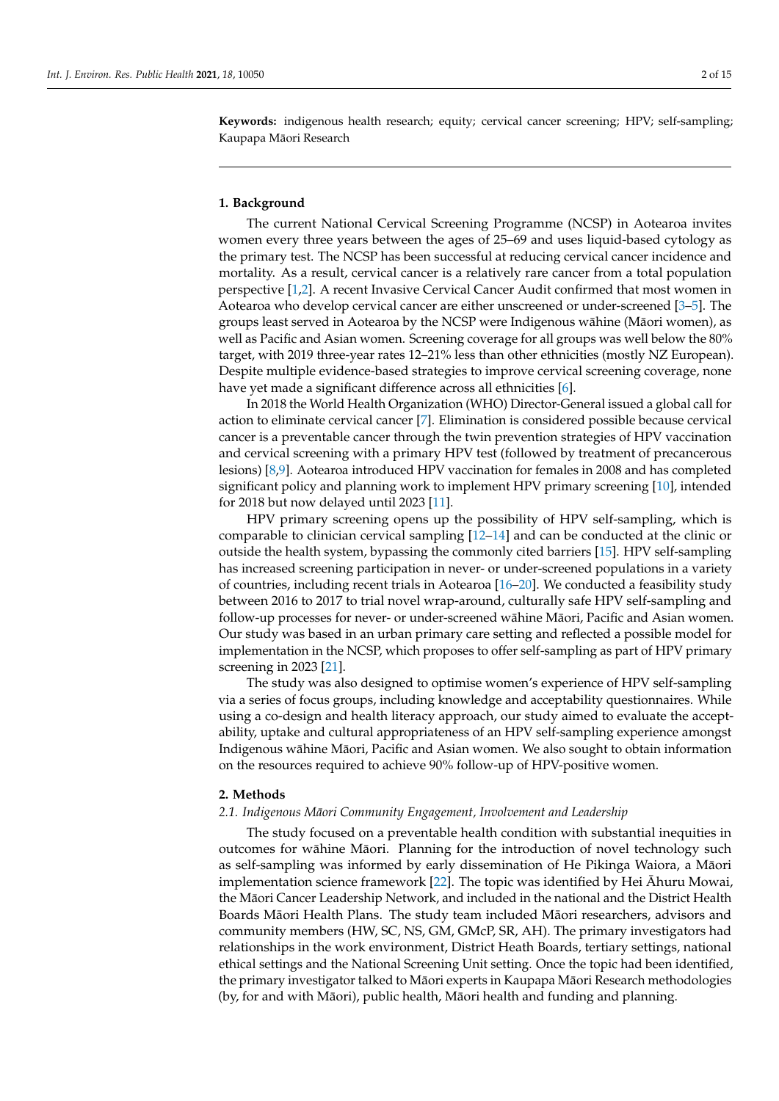**Keywords:** indigenous health research; equity; cervical cancer screening; HPV; self-sampling; Kaupapa Maori Research ¯

#### **1. Background**

The current National Cervical Screening Programme (NCSP) in Aotearoa invites women every three years between the ages of 25–69 and uses liquid-based cytology as the primary test. The NCSP has been successful at reducing cervical cancer incidence and mortality. As a result, cervical cancer is a relatively rare cancer from a total population perspective [\[1,](#page-12-0)[2\]](#page-12-1). A recent Invasive Cervical Cancer Audit confirmed that most women in Aotearoa who develop cervical cancer are either unscreened or under-screened [\[3–](#page-12-2)[5\]](#page-12-3). The groups least served in Aotearoa by the NCSP were Indigenous wāhine (Māori women), as well as Pacific and Asian women. Screening coverage for all groups was well below the 80% target, with 2019 three-year rates 12–21% less than other ethnicities (mostly NZ European). Despite multiple evidence-based strategies to improve cervical screening coverage, none have yet made a significant difference across all ethnicities [\[6\]](#page-12-4).

In 2018 the World Health Organization (WHO) Director-General issued a global call for action to eliminate cervical cancer [\[7\]](#page-12-5). Elimination is considered possible because cervical cancer is a preventable cancer through the twin prevention strategies of HPV vaccination and cervical screening with a primary HPV test (followed by treatment of precancerous lesions) [\[8](#page-12-6)[,9\]](#page-12-7). Aotearoa introduced HPV vaccination for females in 2008 and has completed significant policy and planning work to implement HPV primary screening [\[10\]](#page-12-8), intended for 2018 but now delayed until 2023 [\[11\]](#page-12-9).

HPV primary screening opens up the possibility of HPV self-sampling, which is comparable to clinician cervical sampling [\[12](#page-12-10)[–14\]](#page-12-11) and can be conducted at the clinic or outside the health system, bypassing the commonly cited barriers [\[15\]](#page-12-12). HPV self-sampling has increased screening participation in never- or under-screened populations in a variety of countries, including recent trials in Aotearoa [\[16–](#page-13-0)[20\]](#page-13-1). We conducted a feasibility study between 2016 to 2017 to trial novel wrap-around, culturally safe HPV self-sampling and follow-up processes for never- or under-screened wāhine Māori, Pacific and Asian women. Our study was based in an urban primary care setting and reflected a possible model for implementation in the NCSP, which proposes to offer self-sampling as part of HPV primary screening in 2023 [\[21\]](#page-13-2).

The study was also designed to optimise women's experience of HPV self-sampling via a series of focus groups, including knowledge and acceptability questionnaires. While using a co-design and health literacy approach, our study aimed to evaluate the acceptability, uptake and cultural appropriateness of an HPV self-sampling experience amongst Indigenous wāhine Māori, Pacific and Asian women. We also sought to obtain information on the resources required to achieve 90% follow-up of HPV-positive women.

#### **2. Methods**

## *2.1. Indigenous Maori Community Engagement, Involvement and Leadership ¯*

The study focused on a preventable health condition with substantial inequities in outcomes for wāhine Māori. Planning for the introduction of novel technology such as self-sampling was informed by early dissemination of He Pikinga Waiora, a Maori ¯ implementation science framework  $[22]$ . The topic was identified by Hei  $\bar{A}$ huru Mowai, the Māori Cancer Leadership Network, and included in the national and the District Health Boards Māori Health Plans. The study team included Māori researchers, advisors and community members (HW, SC, NS, GM, GMcP, SR, AH). The primary investigators had relationships in the work environment, District Heath Boards, tertiary settings, national ethical settings and the National Screening Unit setting. Once the topic had been identified, the primary investigator talked to Māori experts in Kaupapa Māori Research methodologies (by, for and with Māori), public health, Māori health and funding and planning.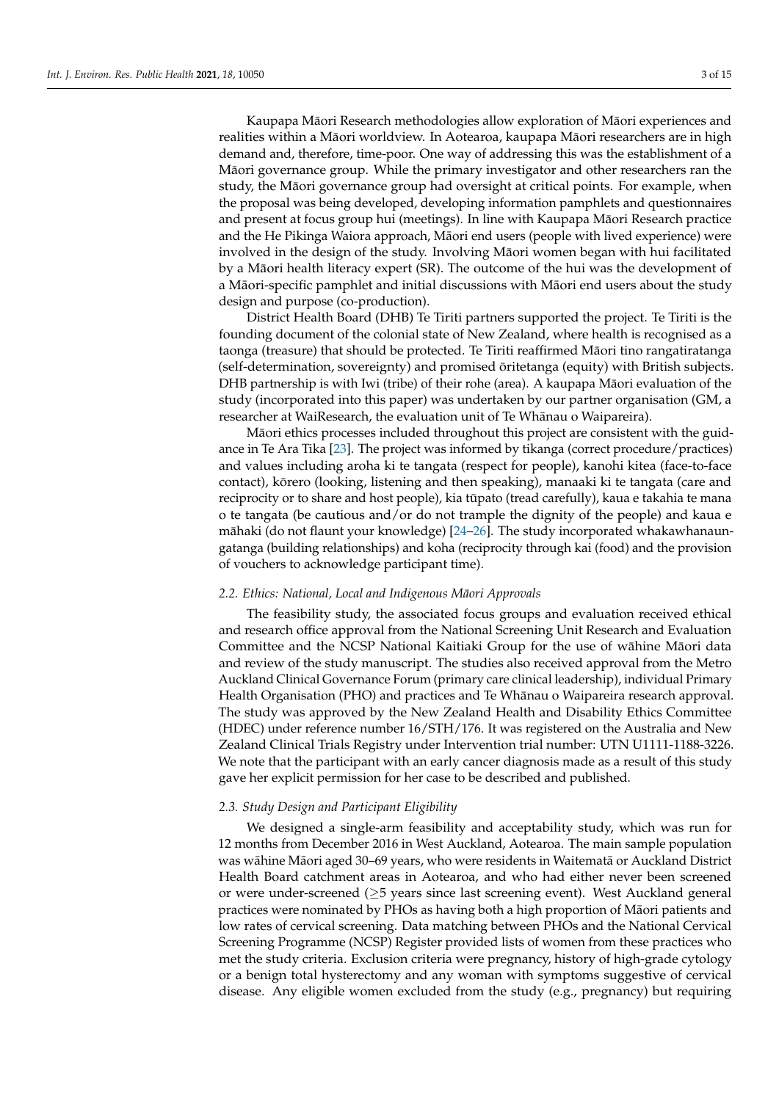Kaupapa Māori Research methodologies allow exploration of Māori experiences and realities within a Māori worldview. In Aotearoa, kaupapa Māori researchers are in high demand and, therefore, time-poor. One way of addressing this was the establishment of a Maori governance group. While the primary investigator and other researchers ran the ¯ study, the Māori governance group had oversight at critical points. For example, when the proposal was being developed, developing information pamphlets and questionnaires and present at focus group hui (meetings). In line with Kaupapa Maori Research practice ¯ and the He Pikinga Waiora approach, Māori end users (people with lived experience) were involved in the design of the study. Involving Maori women began with hui facilitated ¯ by a Māori health literacy expert (SR). The outcome of the hui was the development of a Māori-specific pamphlet and initial discussions with Māori end users about the study design and purpose (co-production).

District Health Board (DHB) Te Tiriti partners supported the project. Te Tiriti is the founding document of the colonial state of New Zealand, where health is recognised as a taonga (treasure) that should be protected. Te Tiriti reaffirmed Maori tino rangatiratanga ¯ (self-determination, sovereignty) and promised ōritetanga (equity) with British subjects. DHB partnership is with Iwi (tribe) of their rohe (area). A kaupapa Māori evaluation of the study (incorporated into this paper) was undertaken by our partner organisation (GM, a researcher at WaiResearch, the evaluation unit of Te Whānau o Waipareira).

Maori ethics processes included throughout this project are consistent with the guid- ¯ ance in Te Ara Tika [\[23\]](#page-13-4). The project was informed by tikanga (correct procedure/practices) and values including aroha ki te tangata (respect for people), kanohi kitea (face-to-face contact), kōrero (looking, listening and then speaking), manaaki ki te tangata (care and reciprocity or to share and host people), kia tūpato (tread carefully), kaua e takahia te mana o te tangata (be cautious and/or do not trample the dignity of the people) and kaua e māhaki (do not flaunt your knowledge)  $[24–26]$  $[24–26]$  $[24–26]$ . The study incorporated whakawhanaungatanga (building relationships) and koha (reciprocity through kai (food) and the provision of vouchers to acknowledge participant time).

#### *2.2. Ethics: National, Local and Indigenous Maori Approvals ¯*

The feasibility study, the associated focus groups and evaluation received ethical and research office approval from the National Screening Unit Research and Evaluation Committee and the NCSP National Kaitiaki Group for the use of wāhine Māori data and review of the study manuscript. The studies also received approval from the Metro Auckland Clinical Governance Forum (primary care clinical leadership), individual Primary Health Organisation (PHO) and practices and Te Whānau o Waipareira research approval. The study was approved by the New Zealand Health and Disability Ethics Committee (HDEC) under reference number 16/STH/176. It was registered on the Australia and New Zealand Clinical Trials Registry under Intervention trial number: UTN U1111-1188-3226. We note that the participant with an early cancer diagnosis made as a result of this study gave her explicit permission for her case to be described and published.

# *2.3. Study Design and Participant Eligibility*

We designed a single-arm feasibility and acceptability study, which was run for 12 months from December 2016 in West Auckland, Aotearoa. The main sample population was wāhine Māori aged 30–69 years, who were residents in Waitematā or Auckland District Health Board catchment areas in Aotearoa, and who had either never been screened or were under-screened (≥5 years since last screening event). West Auckland general practices were nominated by PHOs as having both a high proportion of Maori patients and ¯ low rates of cervical screening. Data matching between PHOs and the National Cervical Screening Programme (NCSP) Register provided lists of women from these practices who met the study criteria. Exclusion criteria were pregnancy, history of high-grade cytology or a benign total hysterectomy and any woman with symptoms suggestive of cervical disease. Any eligible women excluded from the study (e.g., pregnancy) but requiring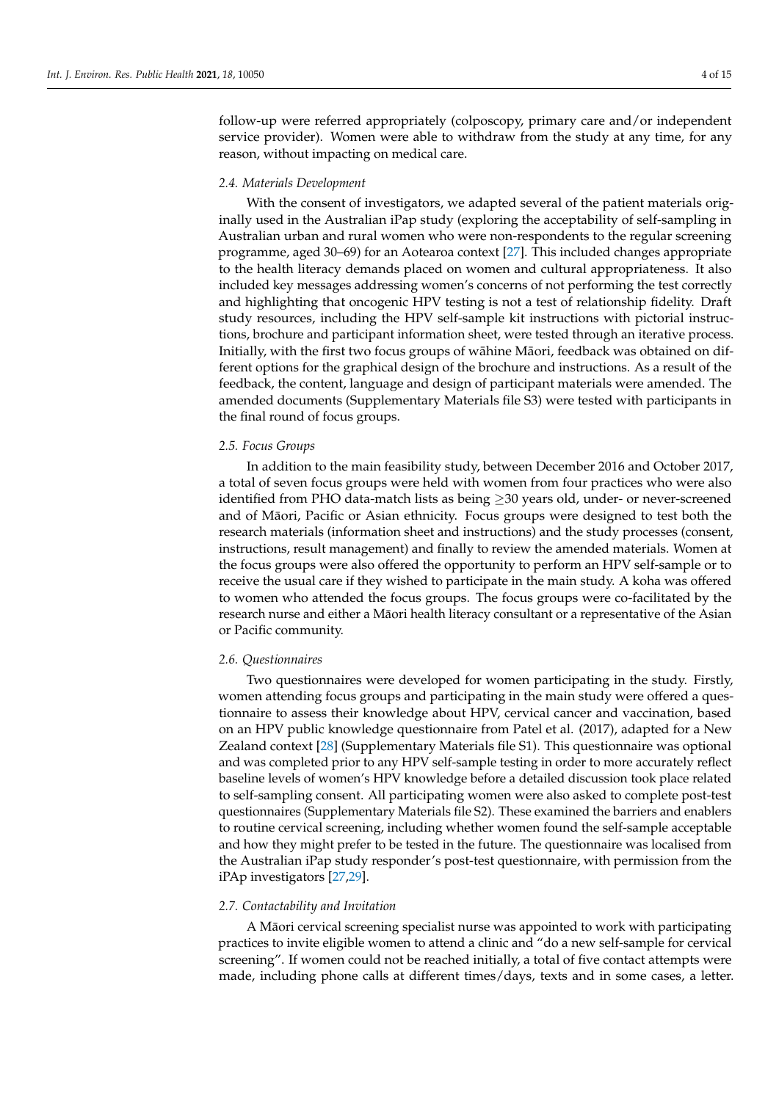follow-up were referred appropriately (colposcopy, primary care and/or independent service provider). Women were able to withdraw from the study at any time, for any reason, without impacting on medical care.

#### *2.4. Materials Development*

With the consent of investigators, we adapted several of the patient materials originally used in the Australian iPap study (exploring the acceptability of self-sampling in Australian urban and rural women who were non-respondents to the regular screening programme, aged 30–69) for an Aotearoa context [\[27\]](#page-13-7). This included changes appropriate to the health literacy demands placed on women and cultural appropriateness. It also included key messages addressing women's concerns of not performing the test correctly and highlighting that oncogenic HPV testing is not a test of relationship fidelity. Draft study resources, including the HPV self-sample kit instructions with pictorial instructions, brochure and participant information sheet, were tested through an iterative process. Initially, with the first two focus groups of wāhine Māori, feedback was obtained on different options for the graphical design of the brochure and instructions. As a result of the feedback, the content, language and design of participant materials were amended. The amended documents (Supplementary Materials file S3) were tested with participants in the final round of focus groups.

#### *2.5. Focus Groups*

In addition to the main feasibility study, between December 2016 and October 2017, a total of seven focus groups were held with women from four practices who were also identified from PHO data-match lists as being  $\geq$ 30 years old, under- or never-screened and of Māori, Pacific or Asian ethnicity. Focus groups were designed to test both the research materials (information sheet and instructions) and the study processes (consent, instructions, result management) and finally to review the amended materials. Women at the focus groups were also offered the opportunity to perform an HPV self-sample or to receive the usual care if they wished to participate in the main study. A koha was offered to women who attended the focus groups. The focus groups were co-facilitated by the research nurse and either a Māori health literacy consultant or a representative of the Asian or Pacific community.

#### *2.6. Questionnaires*

Two questionnaires were developed for women participating in the study. Firstly, women attending focus groups and participating in the main study were offered a questionnaire to assess their knowledge about HPV, cervical cancer and vaccination, based on an HPV public knowledge questionnaire from Patel et al. (2017), adapted for a New Zealand context [\[28\]](#page-13-8) (Supplementary Materials file S1). This questionnaire was optional and was completed prior to any HPV self-sample testing in order to more accurately reflect baseline levels of women's HPV knowledge before a detailed discussion took place related to self-sampling consent. All participating women were also asked to complete post-test questionnaires (Supplementary Materials file S2). These examined the barriers and enablers to routine cervical screening, including whether women found the self-sample acceptable and how they might prefer to be tested in the future. The questionnaire was localised from the Australian iPap study responder's post-test questionnaire, with permission from the iPAp investigators [\[27,](#page-13-7)[29\]](#page-13-9).

## *2.7. Contactability and Invitation*

A Maori cervical screening specialist nurse was appointed to work with participating ¯ practices to invite eligible women to attend a clinic and "do a new self-sample for cervical screening". If women could not be reached initially, a total of five contact attempts were made, including phone calls at different times/days, texts and in some cases, a letter.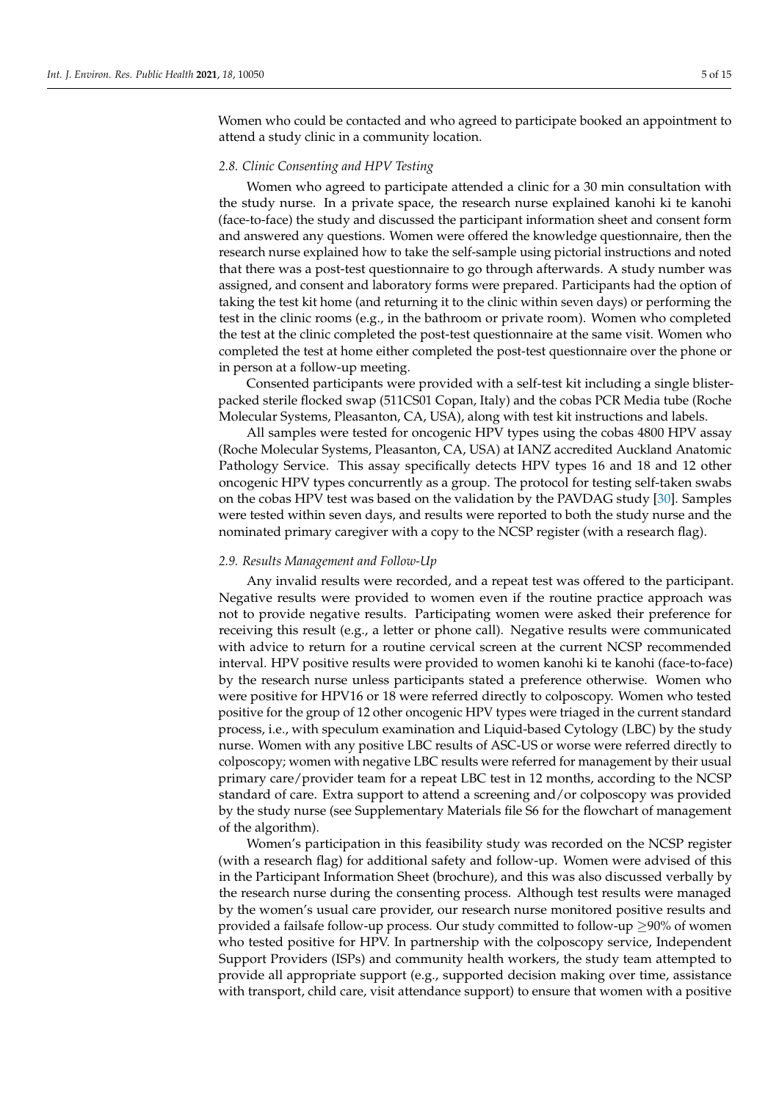Women who could be contacted and who agreed to participate booked an appointment to attend a study clinic in a community location.

## *2.8. Clinic Consenting and HPV Testing*

Women who agreed to participate attended a clinic for a 30 min consultation with the study nurse. In a private space, the research nurse explained kanohi ki te kanohi (face-to-face) the study and discussed the participant information sheet and consent form and answered any questions. Women were offered the knowledge questionnaire, then the research nurse explained how to take the self-sample using pictorial instructions and noted that there was a post-test questionnaire to go through afterwards. A study number was assigned, and consent and laboratory forms were prepared. Participants had the option of taking the test kit home (and returning it to the clinic within seven days) or performing the test in the clinic rooms (e.g., in the bathroom or private room). Women who completed the test at the clinic completed the post-test questionnaire at the same visit. Women who completed the test at home either completed the post-test questionnaire over the phone or in person at a follow-up meeting.

Consented participants were provided with a self-test kit including a single blisterpacked sterile flocked swap (511CS01 Copan, Italy) and the cobas PCR Media tube (Roche Molecular Systems, Pleasanton, CA, USA), along with test kit instructions and labels.

All samples were tested for oncogenic HPV types using the cobas 4800 HPV assay (Roche Molecular Systems, Pleasanton, CA, USA) at IANZ accredited Auckland Anatomic Pathology Service. This assay specifically detects HPV types 16 and 18 and 12 other oncogenic HPV types concurrently as a group. The protocol for testing self-taken swabs on the cobas HPV test was based on the validation by the PAVDAG study [\[30\]](#page-13-10). Samples were tested within seven days, and results were reported to both the study nurse and the nominated primary caregiver with a copy to the NCSP register (with a research flag).

#### *2.9. Results Management and Follow-Up*

Any invalid results were recorded, and a repeat test was offered to the participant. Negative results were provided to women even if the routine practice approach was not to provide negative results. Participating women were asked their preference for receiving this result (e.g., a letter or phone call). Negative results were communicated with advice to return for a routine cervical screen at the current NCSP recommended interval. HPV positive results were provided to women kanohi ki te kanohi (face-to-face) by the research nurse unless participants stated a preference otherwise. Women who were positive for HPV16 or 18 were referred directly to colposcopy. Women who tested positive for the group of 12 other oncogenic HPV types were triaged in the current standard process, i.e., with speculum examination and Liquid-based Cytology (LBC) by the study nurse. Women with any positive LBC results of ASC-US or worse were referred directly to colposcopy; women with negative LBC results were referred for management by their usual primary care/provider team for a repeat LBC test in 12 months, according to the NCSP standard of care. Extra support to attend a screening and/or colposcopy was provided by the study nurse (see Supplementary Materials file S6 for the flowchart of management of the algorithm).

Women's participation in this feasibility study was recorded on the NCSP register (with a research flag) for additional safety and follow-up. Women were advised of this in the Participant Information Sheet (brochure), and this was also discussed verbally by the research nurse during the consenting process. Although test results were managed by the women's usual care provider, our research nurse monitored positive results and provided a failsafe follow-up process. Our study committed to follow-up ≥90% of women who tested positive for HPV. In partnership with the colposcopy service, Independent Support Providers (ISPs) and community health workers, the study team attempted to provide all appropriate support (e.g., supported decision making over time, assistance with transport, child care, visit attendance support) to ensure that women with a positive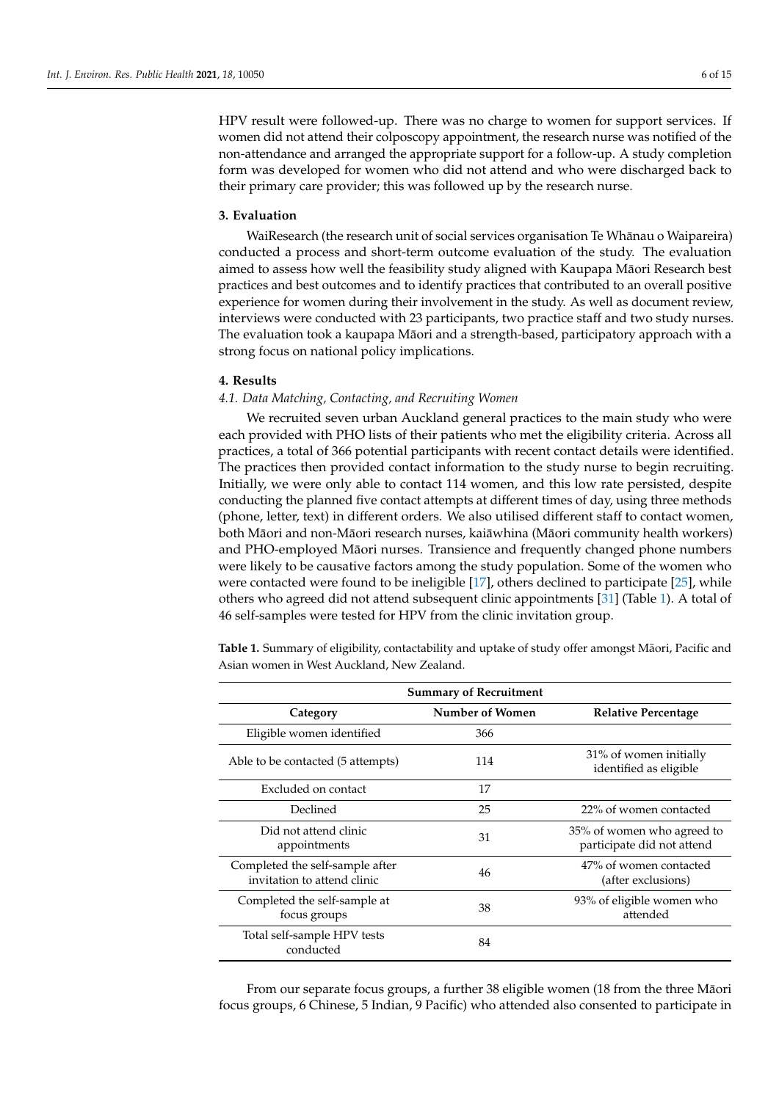HPV result were followed-up. There was no charge to women for support services. If women did not attend their colposcopy appointment, the research nurse was notified of the non-attendance and arranged the appropriate support for a follow-up. A study completion form was developed for women who did not attend and who were discharged back to their primary care provider; this was followed up by the research nurse.

# **3. Evaluation**

WaiResearch (the research unit of social services organisation Te Whanau o Waipareira) ¯ conducted a process and short-term outcome evaluation of the study. The evaluation aimed to assess how well the feasibility study aligned with Kaupapa Maori Research best ¯ practices and best outcomes and to identify practices that contributed to an overall positive experience for women during their involvement in the study. As well as document review, interviews were conducted with 23 participants, two practice staff and two study nurses. The evaluation took a kaupapa Māori and a strength-based, participatory approach with a strong focus on national policy implications.

#### **4. Results**

## *4.1. Data Matching, Contacting, and Recruiting Women*

We recruited seven urban Auckland general practices to the main study who were each provided with PHO lists of their patients who met the eligibility criteria. Across all practices, a total of 366 potential participants with recent contact details were identified. The practices then provided contact information to the study nurse to begin recruiting. Initially, we were only able to contact 114 women, and this low rate persisted, despite conducting the planned five contact attempts at different times of day, using three methods (phone, letter, text) in different orders. We also utilised different staff to contact women, both Māori and non-Māori research nurses, kai ā whina (Māori community health workers) and PHO-employed Māori nurses. Transience and frequently changed phone numbers were likely to be causative factors among the study population. Some of the women who were contacted were found to be ineligible [\[17\]](#page-13-11), others declined to participate [\[25\]](#page-13-12), while others who agreed did not attend subsequent clinic appointments [\[31\]](#page-13-13) (Table [1\)](#page-5-0). A total of 46 self-samples were tested for HPV from the clinic invitation group.

<span id="page-5-0"></span>Table 1. Summary of eligibility, contactability and uptake of study offer amongst Māori, Pacific and Asian women in West Auckland, New Zealand.

| <b>Summary of Recruitment</b>                                  |                 |                                                          |  |  |  |
|----------------------------------------------------------------|-----------------|----------------------------------------------------------|--|--|--|
| Category                                                       | Number of Women | <b>Relative Percentage</b>                               |  |  |  |
| Eligible women identified                                      | 366             |                                                          |  |  |  |
| Able to be contacted (5 attempts)                              | 114             | 31% of women initially<br>identified as eligible         |  |  |  |
| Excluded on contact                                            | 17              |                                                          |  |  |  |
| Declined                                                       | 25              | 22% of women contacted                                   |  |  |  |
| Did not attend clinic<br>appointments                          | 31              | 35% of women who agreed to<br>participate did not attend |  |  |  |
| Completed the self-sample after<br>invitation to attend clinic | 46              | 47% of women contacted<br>(after exclusions)             |  |  |  |
| Completed the self-sample at<br>focus groups                   | 38              | 93% of eligible women who<br>attended                    |  |  |  |
| Total self-sample HPV tests<br>conducted                       | 84              |                                                          |  |  |  |

From our separate focus groups, a further 38 eligible women (18 from the three Māori focus groups, 6 Chinese, 5 Indian, 9 Pacific) who attended also consented to participate in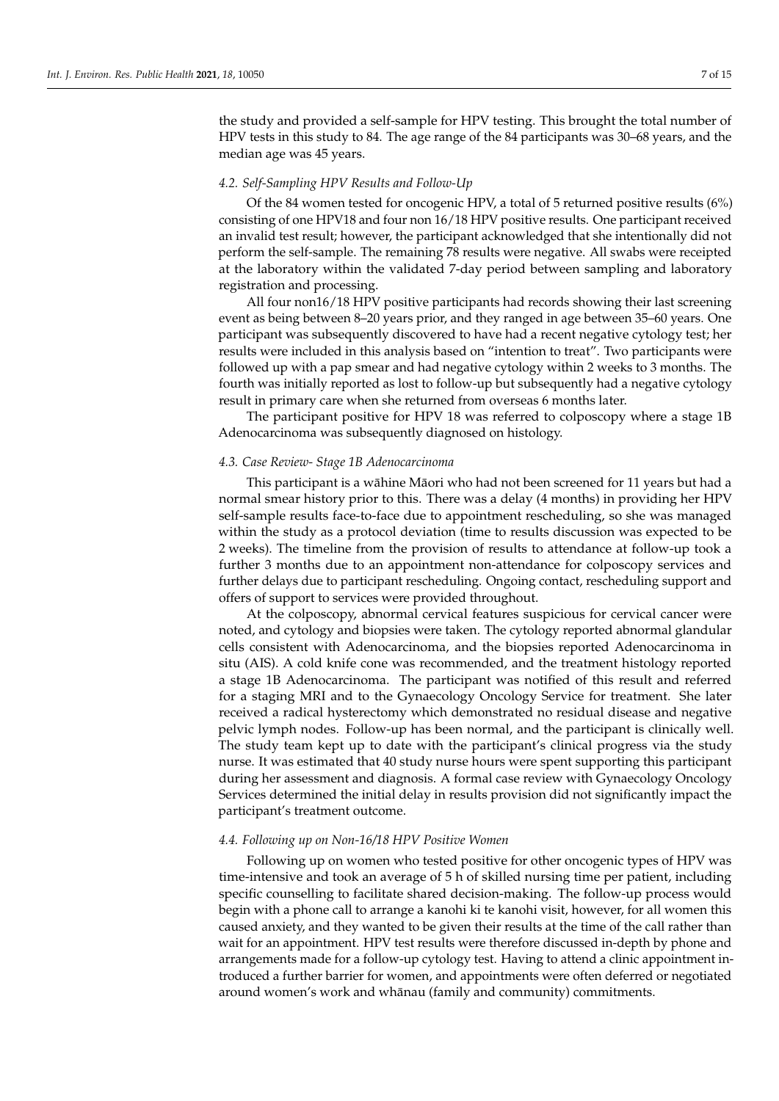the study and provided a self-sample for HPV testing. This brought the total number of HPV tests in this study to 84. The age range of the 84 participants was 30–68 years, and the median age was 45 years.

## *4.2. Self-Sampling HPV Results and Follow-Up*

Of the 84 women tested for oncogenic HPV, a total of 5 returned positive results (6%) consisting of one HPV18 and four non 16/18 HPV positive results. One participant received an invalid test result; however, the participant acknowledged that she intentionally did not perform the self-sample. The remaining 78 results were negative. All swabs were receipted at the laboratory within the validated 7-day period between sampling and laboratory registration and processing.

All four non16/18 HPV positive participants had records showing their last screening event as being between 8–20 years prior, and they ranged in age between 35–60 years. One participant was subsequently discovered to have had a recent negative cytology test; her results were included in this analysis based on "intention to treat". Two participants were followed up with a pap smear and had negative cytology within 2 weeks to 3 months. The fourth was initially reported as lost to follow-up but subsequently had a negative cytology result in primary care when she returned from overseas 6 months later.

The participant positive for HPV 18 was referred to colposcopy where a stage 1B Adenocarcinoma was subsequently diagnosed on histology.

## *4.3. Case Review- Stage 1B Adenocarcinoma*

This participant is a wāhine Māori who had not been screened for 11 years but had a normal smear history prior to this. There was a delay (4 months) in providing her HPV self-sample results face-to-face due to appointment rescheduling, so she was managed within the study as a protocol deviation (time to results discussion was expected to be 2 weeks). The timeline from the provision of results to attendance at follow-up took a further 3 months due to an appointment non-attendance for colposcopy services and further delays due to participant rescheduling. Ongoing contact, rescheduling support and offers of support to services were provided throughout.

At the colposcopy, abnormal cervical features suspicious for cervical cancer were noted, and cytology and biopsies were taken. The cytology reported abnormal glandular cells consistent with Adenocarcinoma, and the biopsies reported Adenocarcinoma in situ (AIS). A cold knife cone was recommended, and the treatment histology reported a stage 1B Adenocarcinoma. The participant was notified of this result and referred for a staging MRI and to the Gynaecology Oncology Service for treatment. She later received a radical hysterectomy which demonstrated no residual disease and negative pelvic lymph nodes. Follow-up has been normal, and the participant is clinically well. The study team kept up to date with the participant's clinical progress via the study nurse. It was estimated that 40 study nurse hours were spent supporting this participant during her assessment and diagnosis. A formal case review with Gynaecology Oncology Services determined the initial delay in results provision did not significantly impact the participant's treatment outcome.

## *4.4. Following up on Non-16/18 HPV Positive Women*

Following up on women who tested positive for other oncogenic types of HPV was time-intensive and took an average of 5 h of skilled nursing time per patient, including specific counselling to facilitate shared decision-making. The follow-up process would begin with a phone call to arrange a kanohi ki te kanohi visit, however, for all women this caused anxiety, and they wanted to be given their results at the time of the call rather than wait for an appointment. HPV test results were therefore discussed in-depth by phone and arrangements made for a follow-up cytology test. Having to attend a clinic appointment introduced a further barrier for women, and appointments were often deferred or negotiated around women's work and whānau (family and community) commitments.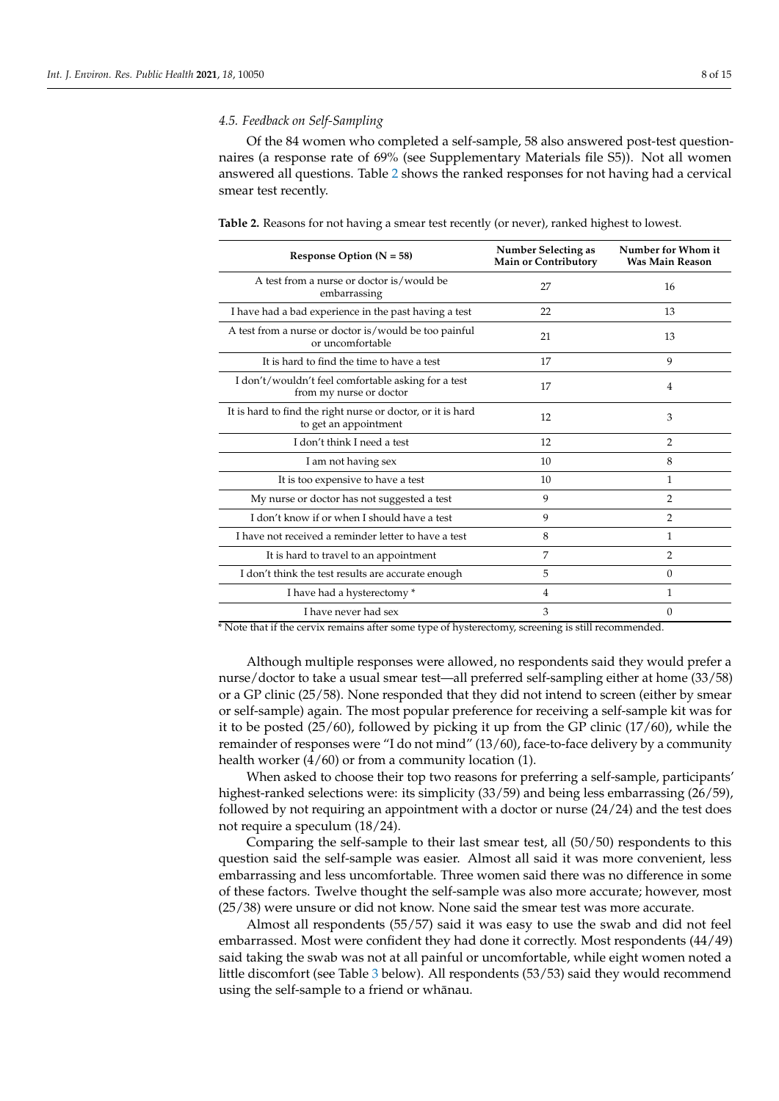## *4.5. Feedback on Self-Sampling*

Of the 84 women who completed a self-sample, 58 also answered post-test questionnaires (a response rate of 69% (see Supplementary Materials file S5)). Not all women answered all questions. Table [2](#page-7-0) shows the ranked responses for not having had a cervical smear test recently.

| Response Option ( $N = 58$ )                                                         | <b>Number Selecting as</b><br>Main or Contributory | Number for Whom it<br><b>Was Main Reason</b> |  |
|--------------------------------------------------------------------------------------|----------------------------------------------------|----------------------------------------------|--|
| A test from a nurse or doctor is/would be<br>embarrassing                            | 27                                                 | 16                                           |  |
| I have had a bad experience in the past having a test                                | 22                                                 | 13                                           |  |
| A test from a nurse or doctor is/would be too painful<br>or uncomfortable            | 21                                                 | 13                                           |  |
| It is hard to find the time to have a test                                           | 17                                                 | 9                                            |  |
| I don't/wouldn't feel comfortable asking for a test<br>from my nurse or doctor       | 17                                                 | 4                                            |  |
| It is hard to find the right nurse or doctor, or it is hard<br>to get an appointment | 12                                                 | 3                                            |  |
| I don't think I need a test                                                          | 12                                                 | $\overline{2}$                               |  |
| I am not having sex                                                                  | 10                                                 | 8                                            |  |
| It is too expensive to have a test                                                   | 10                                                 | 1                                            |  |
| My nurse or doctor has not suggested a test                                          | 9                                                  | $\overline{2}$                               |  |
| I don't know if or when I should have a test                                         | 9                                                  | 2                                            |  |
| I have not received a reminder letter to have a test                                 | 8                                                  | 1                                            |  |
| It is hard to travel to an appointment                                               | 7                                                  | $\overline{2}$                               |  |
| I don't think the test results are accurate enough                                   | 5                                                  | $\Omega$                                     |  |
| I have had a hysterectomy *                                                          | 4                                                  | 1                                            |  |
| I have never had sex                                                                 | 3                                                  | $\Omega$                                     |  |

<span id="page-7-0"></span>**Table 2.** Reasons for not having a smear test recently (or never), ranked highest to lowest.

\* Note that if the cervix remains after some type of hysterectomy, screening is still recommended.

Although multiple responses were allowed, no respondents said they would prefer a nurse/doctor to take a usual smear test—all preferred self-sampling either at home (33/58) or a GP clinic (25/58). None responded that they did not intend to screen (either by smear or self-sample) again. The most popular preference for receiving a self-sample kit was for it to be posted (25/60), followed by picking it up from the GP clinic (17/60), while the remainder of responses were "I do not mind" (13/60), face-to-face delivery by a community health worker (4/60) or from a community location (1).

When asked to choose their top two reasons for preferring a self-sample, participants' highest-ranked selections were: its simplicity (33/59) and being less embarrassing (26/59), followed by not requiring an appointment with a doctor or nurse  $(24/24)$  and the test does not require a speculum (18/24).

Comparing the self-sample to their last smear test, all (50/50) respondents to this question said the self-sample was easier. Almost all said it was more convenient, less embarrassing and less uncomfortable. Three women said there was no difference in some of these factors. Twelve thought the self-sample was also more accurate; however, most (25/38) were unsure or did not know. None said the smear test was more accurate.

Almost all respondents (55/57) said it was easy to use the swab and did not feel embarrassed. Most were confident they had done it correctly. Most respondents (44/49) said taking the swab was not at all painful or uncomfortable, while eight women noted a little discomfort (see Table [3](#page-8-0) below). All respondents (53/53) said they would recommend using the self-sample to a friend or whānau.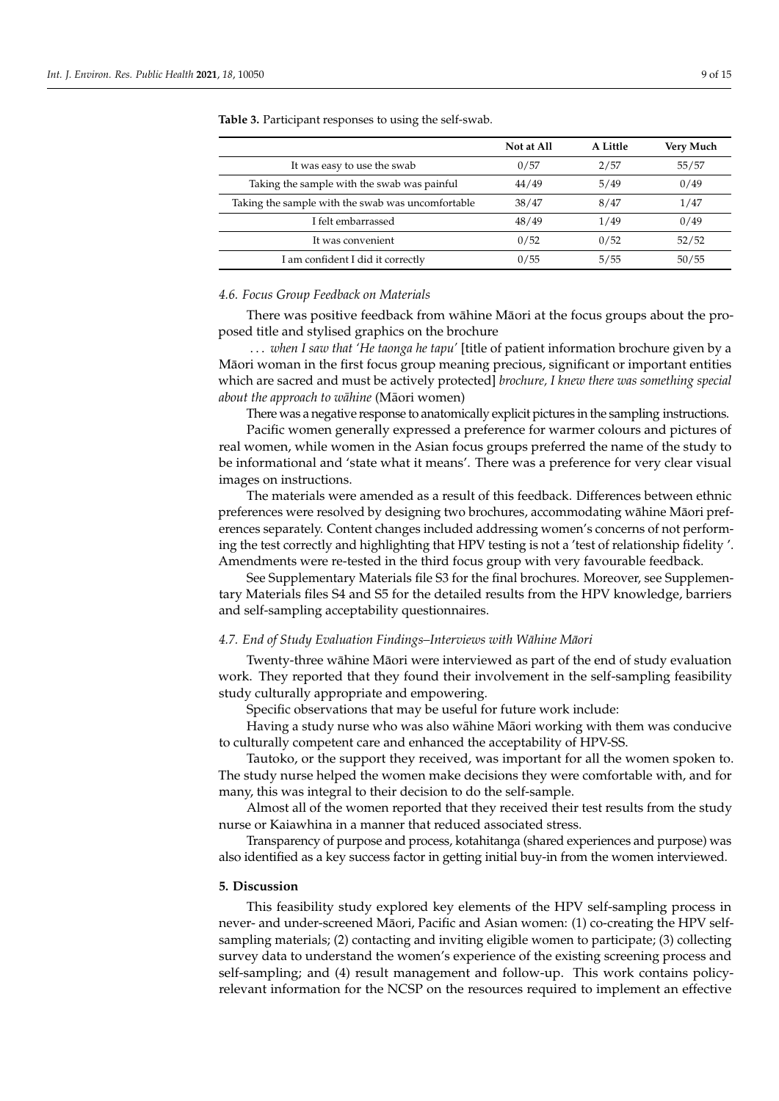|                                                   | Not at All | A Little | Very Much |
|---------------------------------------------------|------------|----------|-----------|
| It was easy to use the swab                       | 0/57       | 2/57     | 55/57     |
| Taking the sample with the swab was painful       | 44/49      | 5/49     | 0/49      |
| Taking the sample with the swab was uncomfortable | 38/47      | 8/47     | 1/47      |
| I felt embarrassed                                | 48/49      | 1/49     | 0/49      |
| It was convenient                                 | 0/52       | 0/52     | 52/52     |
| I am confident I did it correctly                 | 0/55       | 5/55     | 50/55     |

<span id="page-8-0"></span>**Table 3.** Participant responses to using the self-swab.

# *4.6. Focus Group Feedback on Materials*

There was positive feedback from wāhine Māori at the focus groups about the proposed title and stylised graphics on the brochure

. . . *when I saw that 'He taonga he tapu'* [title of patient information brochure given by a Maori woman in the first focus group meaning precious, significant or important entities ¯ which are sacred and must be actively protected] *brochure, I knew there was something special about the approach to wāhine* (Māori women)

There was a negative response to anatomically explicit pictures in the sampling instructions.

Pacific women generally expressed a preference for warmer colours and pictures of real women, while women in the Asian focus groups preferred the name of the study to be informational and 'state what it means'. There was a preference for very clear visual images on instructions.

The materials were amended as a result of this feedback. Differences between ethnic preferences were resolved by designing two brochures, accommodating wāhine Māori preferences separately. Content changes included addressing women's concerns of not performing the test correctly and highlighting that HPV testing is not a 'test of relationship fidelity '. Amendments were re-tested in the third focus group with very favourable feedback.

See Supplementary Materials file S3 for the final brochures. Moreover, see Supplementary Materials files S4 and S5 for the detailed results from the HPV knowledge, barriers and self-sampling acceptability questionnaires.

#### *4.7. End of Study Evaluation Findings–Interviews with Wāhine Māori*

Twenty-three wāhine Māori were interviewed as part of the end of study evaluation work. They reported that they found their involvement in the self-sampling feasibility study culturally appropriate and empowering.

Specific observations that may be useful for future work include:

Having a study nurse who was also wāhine Māori working with them was conducive to culturally competent care and enhanced the acceptability of HPV-SS.

Tautoko, or the support they received, was important for all the women spoken to. The study nurse helped the women make decisions they were comfortable with, and for many, this was integral to their decision to do the self-sample.

Almost all of the women reported that they received their test results from the study nurse or Kaiawhina in a manner that reduced associated stress.

Transparency of purpose and process, kotahitanga (shared experiences and purpose) was also identified as a key success factor in getting initial buy-in from the women interviewed.

## **5. Discussion**

This feasibility study explored key elements of the HPV self-sampling process in never- and under-screened Māori, Pacific and Asian women: (1) co-creating the HPV selfsampling materials; (2) contacting and inviting eligible women to participate; (3) collecting survey data to understand the women's experience of the existing screening process and self-sampling; and (4) result management and follow-up. This work contains policyrelevant information for the NCSP on the resources required to implement an effective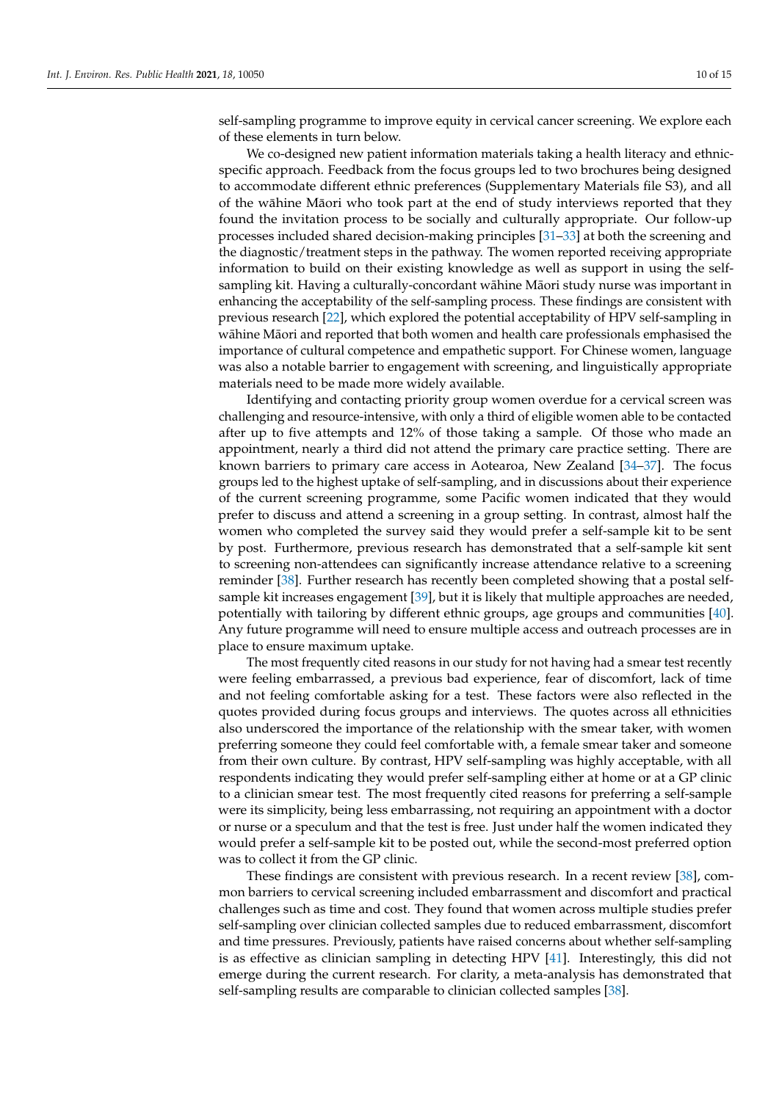self-sampling programme to improve equity in cervical cancer screening. We explore each of these elements in turn below.

We co-designed new patient information materials taking a health literacy and ethnicspecific approach. Feedback from the focus groups led to two brochures being designed to accommodate different ethnic preferences (Supplementary Materials file S3), and all of the wāhine Māori who took part at the end of study interviews reported that they found the invitation process to be socially and culturally appropriate. Our follow-up processes included shared decision-making principles [\[31](#page-13-13)[–33\]](#page-13-14) at both the screening and the diagnostic/treatment steps in the pathway. The women reported receiving appropriate information to build on their existing knowledge as well as support in using the selfsampling kit. Having a culturally-concordant wāhine Māori study nurse was important in enhancing the acceptability of the self-sampling process. These findings are consistent with previous research [\[22\]](#page-13-3), which explored the potential acceptability of HPV self-sampling in wāhine Māori and reported that both women and health care professionals emphasised the importance of cultural competence and empathetic support. For Chinese women, language was also a notable barrier to engagement with screening, and linguistically appropriate materials need to be made more widely available.

Identifying and contacting priority group women overdue for a cervical screen was challenging and resource-intensive, with only a third of eligible women able to be contacted after up to five attempts and 12% of those taking a sample. Of those who made an appointment, nearly a third did not attend the primary care practice setting. There are known barriers to primary care access in Aotearoa, New Zealand [\[34](#page-13-15)[–37\]](#page-13-16). The focus groups led to the highest uptake of self-sampling, and in discussions about their experience of the current screening programme, some Pacific women indicated that they would prefer to discuss and attend a screening in a group setting. In contrast, almost half the women who completed the survey said they would prefer a self-sample kit to be sent by post. Furthermore, previous research has demonstrated that a self-sample kit sent to screening non-attendees can significantly increase attendance relative to a screening reminder [\[38\]](#page-13-17). Further research has recently been completed showing that a postal selfsample kit increases engagement [\[39\]](#page-14-0), but it is likely that multiple approaches are needed, potentially with tailoring by different ethnic groups, age groups and communities [\[40\]](#page-14-1). Any future programme will need to ensure multiple access and outreach processes are in place to ensure maximum uptake.

The most frequently cited reasons in our study for not having had a smear test recently were feeling embarrassed, a previous bad experience, fear of discomfort, lack of time and not feeling comfortable asking for a test. These factors were also reflected in the quotes provided during focus groups and interviews. The quotes across all ethnicities also underscored the importance of the relationship with the smear taker, with women preferring someone they could feel comfortable with, a female smear taker and someone from their own culture. By contrast, HPV self-sampling was highly acceptable, with all respondents indicating they would prefer self-sampling either at home or at a GP clinic to a clinician smear test. The most frequently cited reasons for preferring a self-sample were its simplicity, being less embarrassing, not requiring an appointment with a doctor or nurse or a speculum and that the test is free. Just under half the women indicated they would prefer a self-sample kit to be posted out, while the second-most preferred option was to collect it from the GP clinic.

These findings are consistent with previous research. In a recent review [\[38\]](#page-13-17), common barriers to cervical screening included embarrassment and discomfort and practical challenges such as time and cost. They found that women across multiple studies prefer self-sampling over clinician collected samples due to reduced embarrassment, discomfort and time pressures. Previously, patients have raised concerns about whether self-sampling is as effective as clinician sampling in detecting HPV [\[41\]](#page-14-2). Interestingly, this did not emerge during the current research. For clarity, a meta-analysis has demonstrated that self-sampling results are comparable to clinician collected samples [\[38\]](#page-13-17).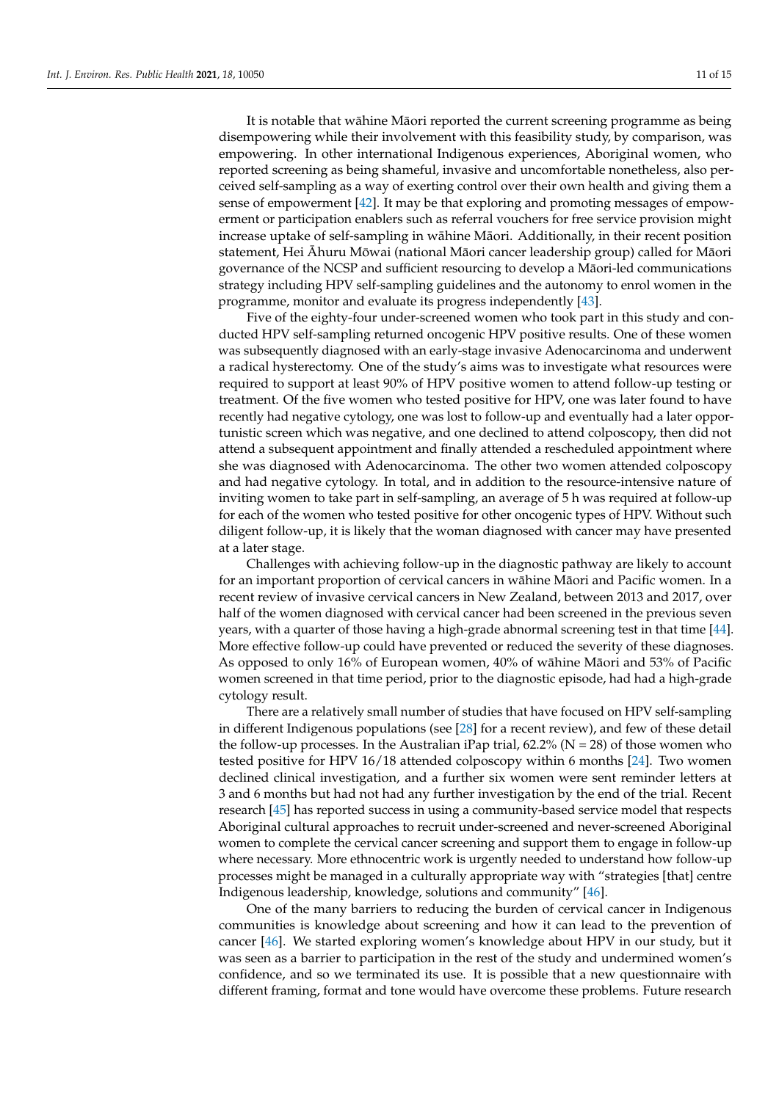It is notable that wāhine Māori reported the current screening programme as being disempowering while their involvement with this feasibility study, by comparison, was empowering. In other international Indigenous experiences, Aboriginal women, who reported screening as being shameful, invasive and uncomfortable nonetheless, also perceived self-sampling as a way of exerting control over their own health and giving them a sense of empowerment [\[42\]](#page-14-3). It may be that exploring and promoting messages of empowerment or participation enablers such as referral vouchers for free service provision might increase uptake of self-sampling in wāhine Māori. Additionally, in their recent position statement, Hei Āhuru Mōwai (national Māori cancer leadership group) called for Māori governance of the NCSP and sufficient resourcing to develop a Maori-led communications ¯ strategy including HPV self-sampling guidelines and the autonomy to enrol women in the programme, monitor and evaluate its progress independently [\[43\]](#page-14-4).

Five of the eighty-four under-screened women who took part in this study and conducted HPV self-sampling returned oncogenic HPV positive results. One of these women was subsequently diagnosed with an early-stage invasive Adenocarcinoma and underwent a radical hysterectomy. One of the study's aims was to investigate what resources were required to support at least 90% of HPV positive women to attend follow-up testing or treatment. Of the five women who tested positive for HPV, one was later found to have recently had negative cytology, one was lost to follow-up and eventually had a later opportunistic screen which was negative, and one declined to attend colposcopy, then did not attend a subsequent appointment and finally attended a rescheduled appointment where she was diagnosed with Adenocarcinoma. The other two women attended colposcopy and had negative cytology. In total, and in addition to the resource-intensive nature of inviting women to take part in self-sampling, an average of 5 h was required at follow-up for each of the women who tested positive for other oncogenic types of HPV. Without such diligent follow-up, it is likely that the woman diagnosed with cancer may have presented at a later stage.

Challenges with achieving follow-up in the diagnostic pathway are likely to account for an important proportion of cervical cancers in wāhine Māori and Pacific women. In a recent review of invasive cervical cancers in New Zealand, between 2013 and 2017, over half of the women diagnosed with cervical cancer had been screened in the previous seven years, with a quarter of those having a high-grade abnormal screening test in that time [\[44\]](#page-14-5). More effective follow-up could have prevented or reduced the severity of these diagnoses. As opposed to only 16% of European women, 40% of wāhine Māori and 53% of Pacific women screened in that time period, prior to the diagnostic episode, had had a high-grade cytology result.

There are a relatively small number of studies that have focused on HPV self-sampling in different Indigenous populations (see [\[28\]](#page-13-8) for a recent review), and few of these detail the follow-up processes. In the Australian iPap trial,  $62.2\%$  (N = 28) of those women who tested positive for HPV 16/18 attended colposcopy within 6 months [\[24\]](#page-13-5). Two women declined clinical investigation, and a further six women were sent reminder letters at 3 and 6 months but had not had any further investigation by the end of the trial. Recent research [\[45\]](#page-14-6) has reported success in using a community-based service model that respects Aboriginal cultural approaches to recruit under-screened and never-screened Aboriginal women to complete the cervical cancer screening and support them to engage in follow-up where necessary. More ethnocentric work is urgently needed to understand how follow-up processes might be managed in a culturally appropriate way with "strategies [that] centre Indigenous leadership, knowledge, solutions and community" [\[46\]](#page-14-7).

One of the many barriers to reducing the burden of cervical cancer in Indigenous communities is knowledge about screening and how it can lead to the prevention of cancer [\[46\]](#page-14-7). We started exploring women's knowledge about HPV in our study, but it was seen as a barrier to participation in the rest of the study and undermined women's confidence, and so we terminated its use. It is possible that a new questionnaire with different framing, format and tone would have overcome these problems. Future research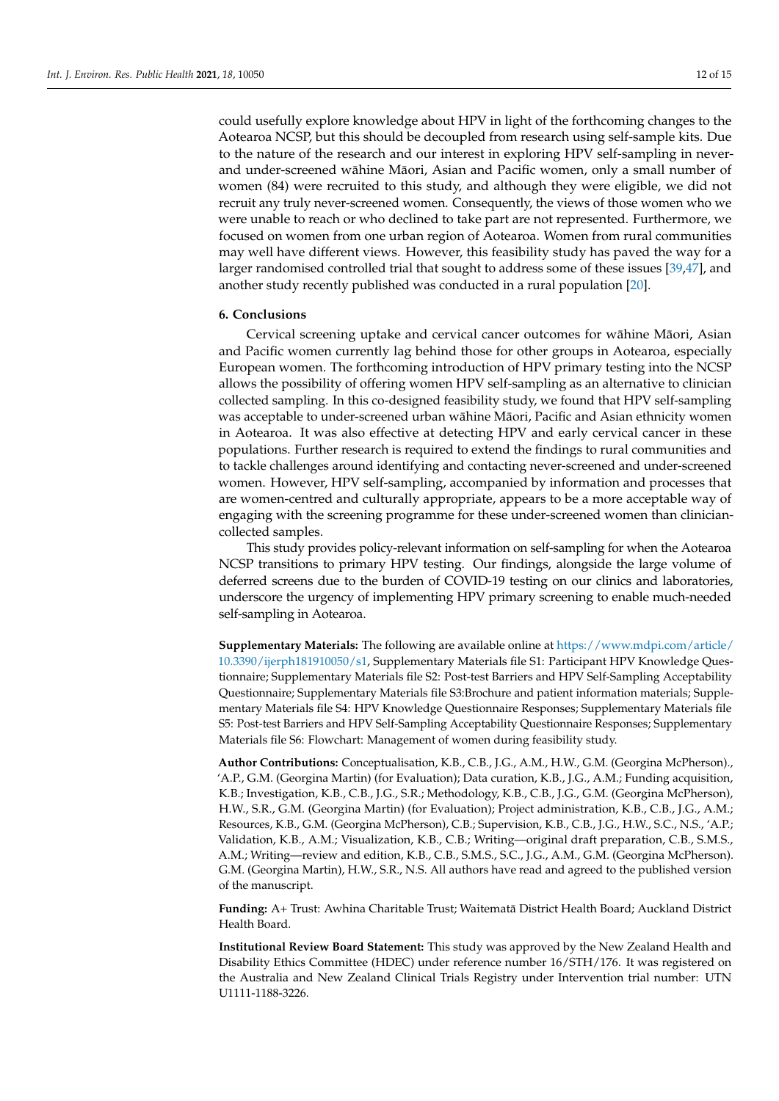could usefully explore knowledge about HPV in light of the forthcoming changes to the Aotearoa NCSP, but this should be decoupled from research using self-sample kits. Due to the nature of the research and our interest in exploring HPV self-sampling in neverand under-screened wāhine Māori, Asian and Pacific women, only a small number of women (84) were recruited to this study, and although they were eligible, we did not recruit any truly never-screened women. Consequently, the views of those women who we were unable to reach or who declined to take part are not represented. Furthermore, we focused on women from one urban region of Aotearoa. Women from rural communities may well have different views. However, this feasibility study has paved the way for a larger randomised controlled trial that sought to address some of these issues [\[39](#page-14-0)[,47\]](#page-14-8), and another study recently published was conducted in a rural population [\[20\]](#page-13-1).

#### **6. Conclusions**

Cervical screening uptake and cervical cancer outcomes for wāhine Māori, Asian and Pacific women currently lag behind those for other groups in Aotearoa, especially European women. The forthcoming introduction of HPV primary testing into the NCSP allows the possibility of offering women HPV self-sampling as an alternative to clinician collected sampling. In this co-designed feasibility study, we found that HPV self-sampling was acceptable to under-screened urban wāhine Māori, Pacific and Asian ethnicity women in Aotearoa. It was also effective at detecting HPV and early cervical cancer in these populations. Further research is required to extend the findings to rural communities and to tackle challenges around identifying and contacting never-screened and under-screened women. However, HPV self-sampling, accompanied by information and processes that are women-centred and culturally appropriate, appears to be a more acceptable way of engaging with the screening programme for these under-screened women than cliniciancollected samples.

This study provides policy-relevant information on self-sampling for when the Aotearoa NCSP transitions to primary HPV testing. Our findings, alongside the large volume of deferred screens due to the burden of COVID-19 testing on our clinics and laboratories, underscore the urgency of implementing HPV primary screening to enable much-needed self-sampling in Aotearoa.

**Supplementary Materials:** The following are available online at [https://www.mdpi.com/article/](https://www.mdpi.com/article/10.3390/ijerph181910050/s1) [10.3390/ijerph181910050/s1,](https://www.mdpi.com/article/10.3390/ijerph181910050/s1) Supplementary Materials file S1: Participant HPV Knowledge Questionnaire; Supplementary Materials file S2: Post-test Barriers and HPV Self-Sampling Acceptability Questionnaire; Supplementary Materials file S3:Brochure and patient information materials; Supplementary Materials file S4: HPV Knowledge Questionnaire Responses; Supplementary Materials file S5: Post-test Barriers and HPV Self-Sampling Acceptability Questionnaire Responses; Supplementary Materials file S6: Flowchart: Management of women during feasibility study.

**Author Contributions:** Conceptualisation, K.B., C.B., J.G., A.M., H.W., G.M. (Georgina McPherson)., 'A.P., G.M. (Georgina Martin) (for Evaluation); Data curation, K.B., J.G., A.M.; Funding acquisition, K.B.; Investigation, K.B., C.B., J.G., S.R.; Methodology, K.B., C.B., J.G., G.M. (Georgina McPherson), H.W., S.R., G.M. (Georgina Martin) (for Evaluation); Project administration, K.B., C.B., J.G., A.M.; Resources, K.B., G.M. (Georgina McPherson), C.B.; Supervision, K.B., C.B., J.G., H.W., S.C., N.S., 'A.P.; Validation, K.B., A.M.; Visualization, K.B., C.B.; Writing—original draft preparation, C.B., S.M.S., A.M.; Writing—review and edition, K.B., C.B., S.M.S., S.C., J.G., A.M., G.M. (Georgina McPherson). G.M. (Georgina Martin), H.W., S.R., N.S. All authors have read and agreed to the published version of the manuscript.

**Funding:** A+ Trust: Awhina Charitable Trust; Waitemata District Health Board; Auckland District ¯ Health Board.

**Institutional Review Board Statement:** This study was approved by the New Zealand Health and Disability Ethics Committee (HDEC) under reference number 16/STH/176. It was registered on the Australia and New Zealand Clinical Trials Registry under Intervention trial number: UTN U1111-1188-3226.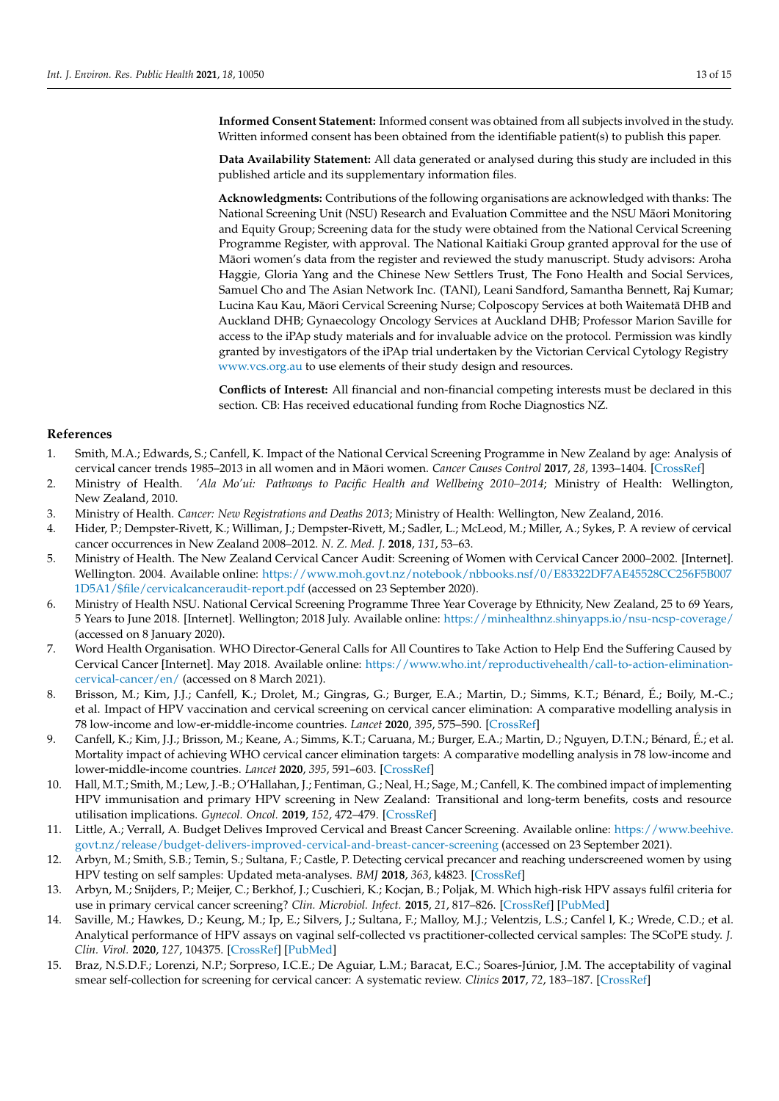**Informed Consent Statement:** Informed consent was obtained from all subjects involved in the study. Written informed consent has been obtained from the identifiable patient(s) to publish this paper.

**Data Availability Statement:** All data generated or analysed during this study are included in this published article and its supplementary information files.

**Acknowledgments:** Contributions of the following organisations are acknowledged with thanks: The National Screening Unit (NSU) Research and Evaluation Committee and the NSU Maori Monitoring ¯ and Equity Group; Screening data for the study were obtained from the National Cervical Screening Programme Register, with approval. The National Kaitiaki Group granted approval for the use of Maori women's data from the register and reviewed the study manuscript. Study advisors: Aroha ¯ Haggie, Gloria Yang and the Chinese New Settlers Trust, The Fono Health and Social Services, Samuel Cho and The Asian Network Inc. (TANI), Leani Sandford, Samantha Bennett, Raj Kumar; Lucina Kau Kau, Māori Cervical Screening Nurse; Colposcopy Services at both Waitematā DHB and Auckland DHB; Gynaecology Oncology Services at Auckland DHB; Professor Marion Saville for access to the iPAp study materials and for invaluable advice on the protocol. Permission was kindly granted by investigators of the iPAp trial undertaken by the Victorian Cervical Cytology Registry <www.vcs.org.au> to use elements of their study design and resources.

**Conflicts of Interest:** All financial and non-financial competing interests must be declared in this section. CB: Has received educational funding from Roche Diagnostics NZ.

# **References**

- <span id="page-12-0"></span>1. Smith, M.A.; Edwards, S.; Canfell, K. Impact of the National Cervical Screening Programme in New Zealand by age: Analysis of cervical cancer trends 1985–2013 in all women and in Māori women. Cancer Causes Control 2017, 28, 1393–1404. [\[CrossRef\]](http://doi.org/10.1007/s10552-017-0967-y)
- <span id="page-12-1"></span>2. Ministry of Health. *'Ala Mo'ui: Pathways to Pacific Health and Wellbeing 2010–2014*; Ministry of Health: Wellington, New Zealand, 2010.
- <span id="page-12-2"></span>3. Ministry of Health. *Cancer: New Registrations and Deaths 2013*; Ministry of Health: Wellington, New Zealand, 2016.
- 4. Hider, P.; Dempster-Rivett, K.; Williman, J.; Dempster-Rivett, M.; Sadler, L.; McLeod, M.; Miller, A.; Sykes, P. A review of cervical cancer occurrences in New Zealand 2008–2012. *N. Z. Med. J.* **2018**, *131*, 53–63.
- <span id="page-12-3"></span>5. Ministry of Health. The New Zealand Cervical Cancer Audit: Screening of Women with Cervical Cancer 2000–2002. [Internet]. Wellington. 2004. Available online: [https://www.moh.govt.nz/notebook/nbbooks.nsf/0/E83322DF7AE45528CC256F5B007](https://www.moh.govt.nz/notebook/nbbooks.nsf/0/E83322DF7AE45528CC256F5B0071D5A1/$file/cervicalcanceraudit-report.pdf) [1D5A1/\\$file/cervicalcanceraudit-report.pdf](https://www.moh.govt.nz/notebook/nbbooks.nsf/0/E83322DF7AE45528CC256F5B0071D5A1/$file/cervicalcanceraudit-report.pdf) (accessed on 23 September 2020).
- <span id="page-12-4"></span>6. Ministry of Health NSU. National Cervical Screening Programme Three Year Coverage by Ethnicity, New Zealand, 25 to 69 Years, 5 Years to June 2018. [Internet]. Wellington; 2018 July. Available online: <https://minhealthnz.shinyapps.io/nsu-ncsp-coverage/> (accessed on 8 January 2020).
- <span id="page-12-5"></span>7. Word Health Organisation. WHO Director-General Calls for All Countires to Take Action to Help End the Suffering Caused by Cervical Cancer [Internet]. May 2018. Available online: [https://www.who.int/reproductivehealth/call-to-action-elimination](https://www.who.int/reproductivehealth/call-to-action-elimination-cervical-cancer/en/)[cervical-cancer/en/](https://www.who.int/reproductivehealth/call-to-action-elimination-cervical-cancer/en/) (accessed on 8 March 2021).
- <span id="page-12-6"></span>8. Brisson, M.; Kim, J.J.; Canfell, K.; Drolet, M.; Gingras, G.; Burger, E.A.; Martin, D.; Simms, K.T.; Bénard, É.; Boily, M.-C.; et al. Impact of HPV vaccination and cervical screening on cervical cancer elimination: A comparative modelling analysis in 78 low-income and low-er-middle-income countries. *Lancet* **2020**, *395*, 575–590. [\[CrossRef\]](http://doi.org/10.1016/S0140-6736(20)30068-4)
- <span id="page-12-7"></span>9. Canfell, K.; Kim, J.J.; Brisson, M.; Keane, A.; Simms, K.T.; Caruana, M.; Burger, E.A.; Martin, D.; Nguyen, D.T.N.; Bénard, É.; et al. Mortality impact of achieving WHO cervical cancer elimination targets: A comparative modelling analysis in 78 low-income and lower-middle-income countries. *Lancet* **2020**, *395*, 591–603. [\[CrossRef\]](http://doi.org/10.1016/S0140-6736(20)30157-4)
- <span id="page-12-8"></span>10. Hall, M.T.; Smith, M.; Lew, J.-B.; O'Hallahan, J.; Fentiman, G.; Neal, H.; Sage, M.; Canfell, K. The combined impact of implementing HPV immunisation and primary HPV screening in New Zealand: Transitional and long-term benefits, costs and resource utilisation implications. *Gynecol. Oncol.* **2019**, *152*, 472–479. [\[CrossRef\]](http://doi.org/10.1016/j.ygyno.2018.10.045)
- <span id="page-12-9"></span>11. Little, A.; Verrall, A. Budget Delives Improved Cervical and Breast Cancer Screening. Available online: [https://www.beehive.](https://www.beehive.govt.nz/release/budget-delivers-improved-cervical-and-breast-cancer-screening) [govt.nz/release/budget-delivers-improved-cervical-and-breast-cancer-screening](https://www.beehive.govt.nz/release/budget-delivers-improved-cervical-and-breast-cancer-screening) (accessed on 23 September 2021).
- <span id="page-12-10"></span>12. Arbyn, M.; Smith, S.B.; Temin, S.; Sultana, F.; Castle, P. Detecting cervical precancer and reaching underscreened women by using HPV testing on self samples: Updated meta-analyses. *BMJ* **2018**, *363*, k4823. [\[CrossRef\]](http://doi.org/10.1136/bmj.k4823)
- 13. Arbyn, M.; Snijders, P.; Meijer, C.; Berkhof, J.; Cuschieri, K.; Kocjan, B.; Poljak, M. Which high-risk HPV assays fulfil criteria for use in primary cervical cancer screening? *Clin. Microbiol. Infect.* **2015**, *21*, 817–826. [\[CrossRef\]](http://doi.org/10.1016/j.cmi.2015.04.015) [\[PubMed\]](http://www.ncbi.nlm.nih.gov/pubmed/25936581)
- <span id="page-12-11"></span>14. Saville, M.; Hawkes, D.; Keung, M.; Ip, E.; Silvers, J.; Sultana, F.; Malloy, M.J.; Velentzis, L.S.; Canfel l, K.; Wrede, C.D.; et al. Analytical performance of HPV assays on vaginal self-collected vs practitioner-collected cervical samples: The SCoPE study. *J. Clin. Virol.* **2020**, *127*, 104375. [\[CrossRef\]](http://doi.org/10.1016/j.jcv.2020.104375) [\[PubMed\]](http://www.ncbi.nlm.nih.gov/pubmed/32361328)
- <span id="page-12-12"></span>15. Braz, N.S.D.F.; Lorenzi, N.P.; Sorpreso, I.C.E.; De Aguiar, L.M.; Baracat, E.C.; Soares-Júnior, J.M. The acceptability of vaginal smear self-collection for screening for cervical cancer: A systematic review. *Clinics* **2017**, *72*, 183–187. [\[CrossRef\]](http://doi.org/10.6061/clinics/2017(03)09)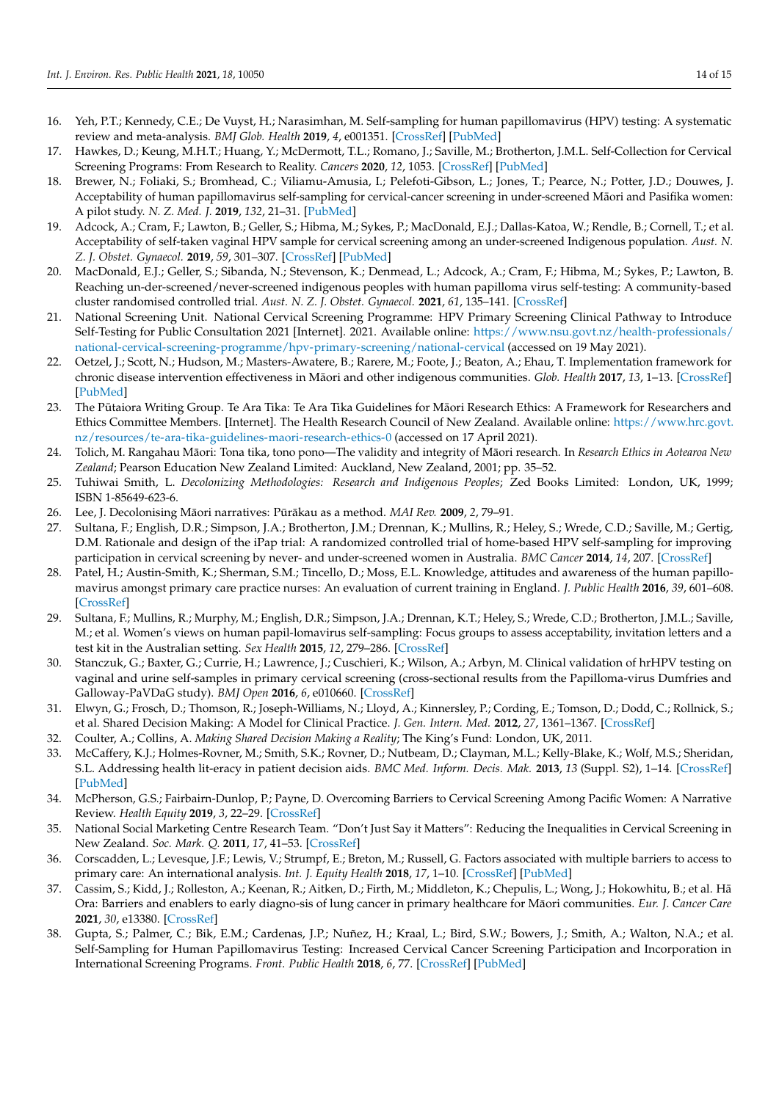- <span id="page-13-0"></span>16. Yeh, P.T.; Kennedy, C.E.; De Vuyst, H.; Narasimhan, M. Self-sampling for human papillomavirus (HPV) testing: A systematic review and meta-analysis. *BMJ Glob. Health* **2019**, *4*, e001351. [\[CrossRef\]](http://doi.org/10.1136/bmjgh-2018-001351) [\[PubMed\]](http://www.ncbi.nlm.nih.gov/pubmed/31179035)
- <span id="page-13-11"></span>17. Hawkes, D.; Keung, M.H.T.; Huang, Y.; McDermott, T.L.; Romano, J.; Saville, M.; Brotherton, J.M.L. Self-Collection for Cervical Screening Programs: From Research to Reality. *Cancers* **2020**, *12*, 1053. [\[CrossRef\]](http://doi.org/10.3390/cancers12041053) [\[PubMed\]](http://www.ncbi.nlm.nih.gov/pubmed/32344565)
- 18. Brewer, N.; Foliaki, S.; Bromhead, C.; Viliamu-Amusia, I.; Pelefoti-Gibson, L.; Jones, T.; Pearce, N.; Potter, J.D.; Douwes, J. Acceptability of human papillomavirus self-sampling for cervical-cancer screening in under-screened Maori and Pasifika women: ¯ A pilot study. *N. Z. Med. J.* **2019**, *132*, 21–31. [\[PubMed\]](http://www.ncbi.nlm.nih.gov/pubmed/31220062)
- 19. Adcock, A.; Cram, F.; Lawton, B.; Geller, S.; Hibma, M.; Sykes, P.; MacDonald, E.J.; Dallas-Katoa, W.; Rendle, B.; Cornell, T.; et al. Acceptability of self-taken vaginal HPV sample for cervical screening among an under-screened Indigenous population. *Aust. N. Z. J. Obstet. Gynaecol.* **2019**, *59*, 301–307. [\[CrossRef\]](http://doi.org/10.1111/ajo.12933) [\[PubMed\]](http://www.ncbi.nlm.nih.gov/pubmed/30614524)
- <span id="page-13-1"></span>20. MacDonald, E.J.; Geller, S.; Sibanda, N.; Stevenson, K.; Denmead, L.; Adcock, A.; Cram, F.; Hibma, M.; Sykes, P.; Lawton, B. Reaching un-der-screened/never-screened indigenous peoples with human papilloma virus self-testing: A community-based cluster randomised controlled trial. *Aust. N. Z. J. Obstet. Gynaecol.* **2021**, *61*, 135–141. [\[CrossRef\]](http://doi.org/10.1111/ajo.13285)
- <span id="page-13-2"></span>21. National Screening Unit. National Cervical Screening Programme: HPV Primary Screening Clinical Pathway to Introduce Self-Testing for Public Consultation 2021 [Internet]. 2021. Available online: [https://www.nsu.govt.nz/health-professionals/](https://www.nsu.govt.nz/health-professionals/national-cervical-screening-programme/hpv-primary-screening/national-cervical) [national-cervical-screening-programme/hpv-primary-screening/national-cervical](https://www.nsu.govt.nz/health-professionals/national-cervical-screening-programme/hpv-primary-screening/national-cervical) (accessed on 19 May 2021).
- <span id="page-13-3"></span>22. Oetzel, J.; Scott, N.; Hudson, M.; Masters-Awatere, B.; Rarere, M.; Foote, J.; Beaton, A.; Ehau, T. Implementation framework for chronic disease intervention effectiveness in Māori and other indigenous communities. Glob. Health 2017, 13, 1-13. [\[CrossRef\]](http://doi.org/10.1186/s12992-017-0295-8) [\[PubMed\]](http://www.ncbi.nlm.nih.gov/pubmed/28870225)
- <span id="page-13-4"></span>23. The Pūtaiora Writing Group. Te Ara Tika: Te Ara Tika Guidelines for Māori Research Ethics: A Framework for Researchers and Ethics Committee Members. [Internet]. The Health Research Council of New Zealand. Available online: [https://www.hrc.govt.](https://www.hrc.govt.nz/resources/te-ara-tika-guidelines-maori-research-ethics-0) [nz/resources/te-ara-tika-guidelines-maori-research-ethics-0](https://www.hrc.govt.nz/resources/te-ara-tika-guidelines-maori-research-ethics-0) (accessed on 17 April 2021).
- <span id="page-13-5"></span>24. Tolich, M. Rangahau Māori: Tona tika, tono pono—The validity and integrity of Māori research. In Research Ethics in Aotearoa New *Zealand*; Pearson Education New Zealand Limited: Auckland, New Zealand, 2001; pp. 35–52.
- <span id="page-13-12"></span>25. Tuhiwai Smith, L. *Decolonizing Methodologies: Research and Indigenous Peoples*; Zed Books Limited: London, UK, 1999; ISBN 1-85649-623-6.
- <span id="page-13-6"></span>26. Lee, J. Decolonising Māori narratives: Pūrākau as a method. *MAI Rev.* 2009, 2, 79–91.
- <span id="page-13-7"></span>27. Sultana, F.; English, D.R.; Simpson, J.A.; Brotherton, J.M.; Drennan, K.; Mullins, R.; Heley, S.; Wrede, C.D.; Saville, M.; Gertig, D.M. Rationale and design of the iPap trial: A randomized controlled trial of home-based HPV self-sampling for improving participation in cervical screening by never- and under-screened women in Australia. *BMC Cancer* **2014**, *14*, 207. [\[CrossRef\]](http://doi.org/10.1186/1471-2407-14-207)
- <span id="page-13-8"></span>28. Patel, H.; Austin-Smith, K.; Sherman, S.M.; Tincello, D.; Moss, E.L. Knowledge, attitudes and awareness of the human papillomavirus amongst primary care practice nurses: An evaluation of current training in England. *J. Public Health* **2016**, *39*, 601–608. [\[CrossRef\]](http://doi.org/10.1093/pubmed/fdw063)
- <span id="page-13-9"></span>29. Sultana, F.; Mullins, R.; Murphy, M.; English, D.R.; Simpson, J.A.; Drennan, K.T.; Heley, S.; Wrede, C.D.; Brotherton, J.M.L.; Saville, M.; et al. Women's views on human papil-lomavirus self-sampling: Focus groups to assess acceptability, invitation letters and a test kit in the Australian setting. *Sex Health* **2015**, *12*, 279–286. [\[CrossRef\]](http://doi.org/10.1071/SH14236)
- <span id="page-13-10"></span>30. Stanczuk, G.; Baxter, G.; Currie, H.; Lawrence, J.; Cuschieri, K.; Wilson, A.; Arbyn, M. Clinical validation of hrHPV testing on vaginal and urine self-samples in primary cervical screening (cross-sectional results from the Papilloma-virus Dumfries and Galloway-PaVDaG study). *BMJ Open* **2016**, *6*, e010660. [\[CrossRef\]](http://doi.org/10.1136/bmjopen-2015-010660)
- <span id="page-13-13"></span>31. Elwyn, G.; Frosch, D.; Thomson, R.; Joseph-Williams, N.; Lloyd, A.; Kinnersley, P.; Cording, E.; Tomson, D.; Dodd, C.; Rollnick, S.; et al. Shared Decision Making: A Model for Clinical Practice. *J. Gen. Intern. Med.* **2012**, *27*, 1361–1367. [\[CrossRef\]](http://doi.org/10.1007/s11606-012-2077-6)
- 32. Coulter, A.; Collins, A. *Making Shared Decision Making a Reality*; The King's Fund: London, UK, 2011.
- <span id="page-13-14"></span>33. McCaffery, K.J.; Holmes-Rovner, M.; Smith, S.K.; Rovner, D.; Nutbeam, D.; Clayman, M.L.; Kelly-Blake, K.; Wolf, M.S.; Sheridan, S.L. Addressing health lit-eracy in patient decision aids. *BMC Med. Inform. Decis. Mak.* **2013**, *13* (Suppl. S2), 1–14. [\[CrossRef\]](http://doi.org/10.1186/1472-6947-13-S2-S10) [\[PubMed\]](http://www.ncbi.nlm.nih.gov/pubmed/24624970)
- <span id="page-13-15"></span>34. McPherson, G.S.; Fairbairn-Dunlop, P.; Payne, D. Overcoming Barriers to Cervical Screening Among Pacific Women: A Narrative Review. *Health Equity* **2019**, *3*, 22–29. [\[CrossRef\]](http://doi.org/10.1089/heq.2018.0076)
- 35. National Social Marketing Centre Research Team. "Don't Just Say it Matters": Reducing the Inequalities in Cervical Screening in New Zealand. *Soc. Mark. Q.* **2011**, *17*, 41–53. [\[CrossRef\]](http://doi.org/10.1080/15245004.2011.624484)
- 36. Corscadden, L.; Levesque, J.F.; Lewis, V.; Strumpf, E.; Breton, M.; Russell, G. Factors associated with multiple barriers to access to primary care: An international analysis. *Int. J. Equity Health* **2018**, *17*, 1–10. [\[CrossRef\]](http://doi.org/10.1186/s12939-018-0740-1) [\[PubMed\]](http://www.ncbi.nlm.nih.gov/pubmed/29458379)
- <span id="page-13-16"></span>37. Cassim, S.; Kidd, J.; Rolleston, A.; Keenan, R.; Aitken, D.; Firth, M.; Middleton, K.; Chepulis, L.; Wong, J.; Hokowhitu, B.; et al. Hā Ora: Barriers and enablers to early diagno-sis of lung cancer in primary healthcare for Māori communities. Eur. J. Cancer Care **2021**, *30*, e13380. [\[CrossRef\]](http://doi.org/10.1111/ecc.13380)
- <span id="page-13-17"></span>38. Gupta, S.; Palmer, C.; Bik, E.M.; Cardenas, J.P.; Nuñez, H.; Kraal, L.; Bird, S.W.; Bowers, J.; Smith, A.; Walton, N.A.; et al. Self-Sampling for Human Papillomavirus Testing: Increased Cervical Cancer Screening Participation and Incorporation in International Screening Programs. *Front. Public Health* **2018**, *6*, 77. [\[CrossRef\]](http://doi.org/10.3389/fpubh.2018.00077) [\[PubMed\]](http://www.ncbi.nlm.nih.gov/pubmed/29686981)